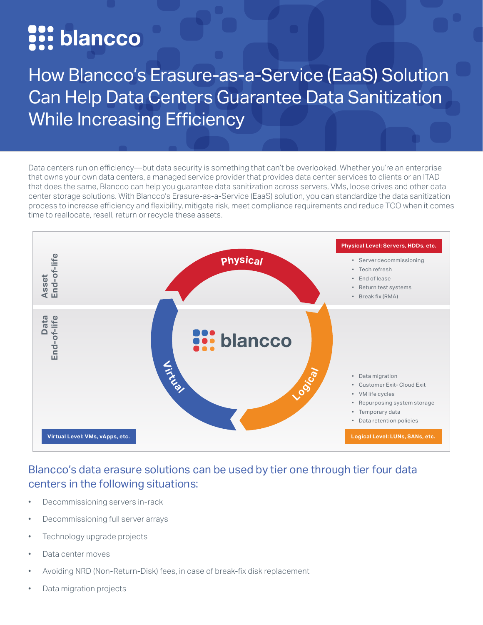# se: blancco

How Blancco's Erasure-as-a-Service (EaaS) Solution Can Help Data Centers Guarantee Data Sanitization While Increasing Efficiency

Data centers run on efficiency—but data security is something that can't be overlooked. Whether you're an enterprise that owns your own data centers, a managed service provider that provides data center services to clients or an ITAD that does the same, Blancco can help you guarantee data sanitization across servers, VMs, loose drives and other data center storage solutions. With Blancco's Erasure-as-a-Service (EaaS) solution, you can standardize the data sanitization process to increase efficiency and flexibility, mitigate risk, meet compliance requirements and reduce TCO when it comes time to reallocate, resell, return or recycle these assets.



## Blancco's data erasure solutions can be used by tier one through tier four data centers in the following situations:

- Decommissioning servers in-rack
- Decommissioning full server arrays
- Technology upgrade projects
- Data center moves
- Avoiding NRD (Non-Return-Disk) fees, in case of break-fix disk replacement
- Data migration projects